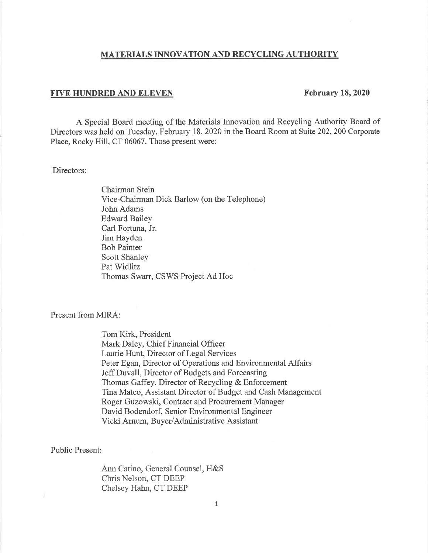## MATERIALS INNOVATION AND RECYCLING AUTHORITY

## FIVE HUNDRED AND ELEVEN February 18, 2020

A Special Board meeting of the Materials Innovation and Recycling Authority Board of Directors was held on Tuesday, February 18,2020 in the Board Room at Suite 202,200 Corporate Place, Rocky Hill, CT 06067. Those present were:

Directors:

Chairman Stein Vice-Chairman Dick Barlow (on the Telephone) John Adams Edward Bailey Carl Fortuna, Jr. Jim Hayden Bob Painter Scott Shanley Pat Widlitz Thomas Swarr, CSWS Project Ad Hoc

Present from MIRA:

Tom Kirk, President Mark Daley, Chief Financial Officer Laurie Hunt, Director of Legal Services Peter Egan, Director of Operations and Environmental Affairs Jeff Duvall, Director of Budgets and Forecasting Thomas Gaffey, Director of Recycling & Enforcement Tina Mateo, Assistant Director of Budget and Cash Management Roger Guzowski, Contract and Procurement Manager David Bodendorf, Senior Environmental Engineer Vicki Arnum, Buyer/Administrative Assistant

Public Present:

Ann Catino, General Counsel, H&S Chris Nelson, CT DEEP Chelsey Hahn, CT DEEP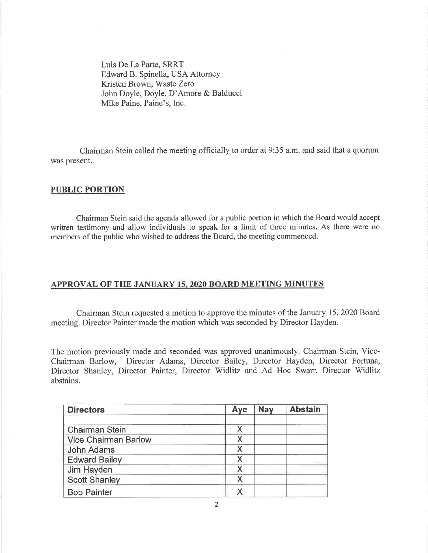Luis De LaParte, SRRT Edward B. Spinella, USA Attorney Kristen Brown, Waste Zero John Doyle, Doyle, D'Amore & Balducci Mike Paine, Paine's, Inc.

Chairman Stein called the meeting officially to order at9,35 a.m. and said that a quorum was present.

### PUBLIC PORTION

Chairman Stein said the agenda allowed for a public portion in which the Board would accept written testimony and allow individuals to speak for a limit of three minutes. As there were no members of the public who wished to address the Board, the meeting commenced.

## APPROVAL OF THE JANUARY 15.2020 BOARD MEETING MINUTES

Chairman Stein requested a motion to approve the minutes of the January 15,2020 Board meeting. Director Painter made the motion which was seconded by Director Hayden.

The motion previously made and seconded was approved unanimously, Chairman Stein, Vice-Chairman Barlow, Director Adams, Director Bailey, Director Hayden, Director Fortuna, Director Shanley, Director Painter, Director Widlitz and Ad Hoc Swarr. Director Widlitz abstains.

| <b>Directors</b>            | Aye | <b>Nay</b> | <b>Abstain</b> |
|-----------------------------|-----|------------|----------------|
|                             |     |            |                |
| <b>Chairman Stein</b>       |     |            |                |
| <b>Vice Chairman Barlow</b> | Χ   |            |                |
| <b>John Adams</b>           | Χ   |            |                |
| <b>Edward Bailey</b>        | Χ   |            |                |
| Jim Hayden                  | Χ   |            |                |
| <b>Scott Shanley</b>        | X   |            |                |
| <b>Bob Painter</b>          | x   |            |                |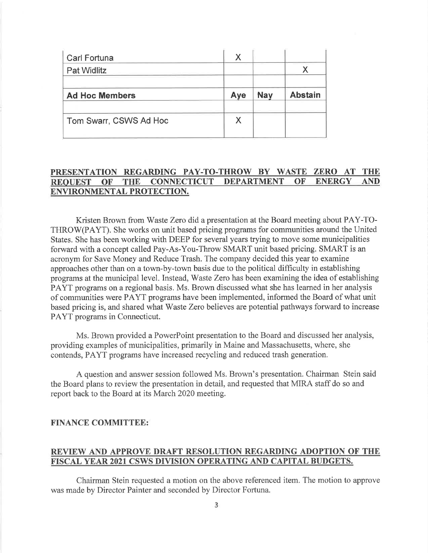| <b>Carl Fortuna</b>    | X   |            |                |
|------------------------|-----|------------|----------------|
| <b>Pat Widlitz</b>     |     |            |                |
| <b>Ad Hoc Members</b>  | Aye | <b>Nay</b> | <b>Abstain</b> |
| Tom Swarr, CSWS Ad Hoc | X   |            |                |

# PRESENTATION REGARDING PAY-TO-THROW BY WASTE ZERO AT THE REOUEST OF THE CONNECTICUT DEPARTMENT OF ENERGY AND ENVIRONMENTAL PROTECTION.

Kristen Brown from Waste Zero did a presentation at the Board meeting about PAY-TO-THROV/(PAYT). She works on unit based pricing programs for communities around the United States. She has been working with DEEP for several years trying to move some municipalities forward with a concept called Pay-As-You-Throw SMART unit based pricing. SMART is an acronym for Save Money and Reduce Trash. The company decided this year to examine approaches other than on a town-by-town basis due to the political difficulty in establishing programs at the municipal level. Instead, 'Waste Zero has been examining the idea of establishing PAYT programs on a regional basis. Ms. Brown discussed what she has learned in her analysis of communities were PAYT programs have been implemented, informed the Board of what unit based pricing is, and shared what Waste Zero believes are potential pathways forward to increase PAYT programs in Connecticut.

Ms. Brown provided a PowerPoint presentation to the Board and discussed her analysis, providing examples of municipalities, primarily in Maine and Massachusetts, where, she contends, PAYT programs have increased recycling and reduced trash generation.

A question and answer session followed Ms. Brown's presentation. Chairman Stein said the Board plans to review the presentation in detail, and requested that MIRA staff do so and report back to the Board at its March 2020 meeting.

## FINANCE COMMITTEE:

# REVIEW AND APPROVE DRAFT RESOLUTION REGARDING ADOPTION OF THE FISCAL YEAR 2021 CSWS DIVISION OPERATING AND CAPITAL BUDGETS.

Chairman Stein requested a motion on the above referenced item. The motion to approve was made by Director Painter and seconded by Director Fortuna.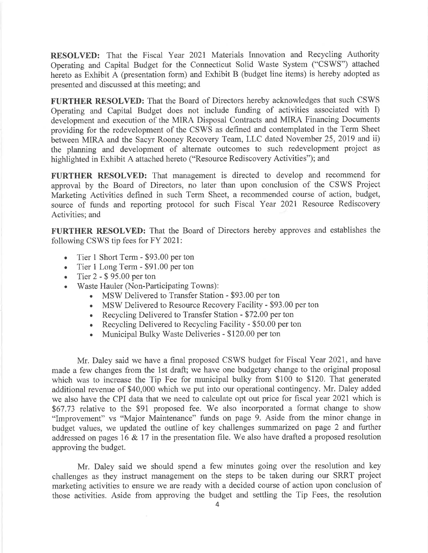RESOLVED: That the Fiscal Year 2021 Materials Innovation and Recycling Authority Operating and Capital Budget for the Connecticut Solid Waste System ("CSWS") attached hereto as Exhibit A (presentation form) and Exhibit B (budget line items) is hereby adopted as presented and discussed at this meeting; and

FURTHER RESOLVED: That the Board of Directors hereby acknowledges that such CSV/S Operating and Capital Budget does not include funding of activities associated with I) development and execution of the MIRA Disposal Contracts and MIRA Financing Documents providing for the redevelopment of the CSWS as defined and contemplated in the Term Sheet between MIRA and the Sacyr Rooney Recovery Team, LLC dated November 25,2019 and ii) the planning and development of alternate outcomes to such redevelopment project as highlighted in Exhibit A attached hereto ("Resource Rediscovery Activities"); and

FURTHER RESOLVED: That management is directed to develop and recommend for approval by the Board of Directors, no later than upon conclusion of the CSWS Project Marketing Activities defined in such Term Sheet, a recommended course of action, budget, source of funds and reporting protocol for such Fiscal Year 2021 Resource Rediscovery Activities; and

FURTHER RESOLVED: That the Board of Directors hereby approves and establishes the following CSWS tip fees for FY 2021:

- . Tier 1 Short Term \$93.00 per ton
- . Tier 1 Long Term \$91.00 per ton
- $\cdot$  Tier 2 \$95.00 per ton
- Waste Hauler (Non-Participating Towns):
	- . MSW Delivered to Transfer Station \$93.00 per ton
	- . MSW Delivered to Resource Recovery Facility \$93.00 per ton
	- . Recycling Delivered to Transfer Station \$72.00 per ton
	- Recycling Delivered to Recycling Facility \$50.00 per ton
	- Municipal Bulky Waste Deliveries \$120.00 per ton

Mr. Daley said we have a final proposed CSWS budget for Fiscal Year 2021, and have made a few changes from the lst draft; we have one budgetary change to the original proposal which was to increase the Tip Fee for municipal bulky from \$100 to \$120. That generated additional revenue of \$40,000 which we put into our operational contingency. Mr. Daley added we also have the CPI data that we need to calculate opt out price for fiscal year 202I which is \$67.73 relative to the \$91 proposed fee. We also incorporated a format change to show "Improvement" vs "Major Maintenance" funds on page 9. Aside from the minor change in budget values, we updated the outline of key challenges summarized on page 2 and further addressed on pages 16  $\&$  17 in the presentation file. We also have drafted a proposed resolution approving the budget.

Mr. Daley said we should spend a few minutes going over the resolution and key challenges as they instruct management on the steps to be taken during our SRRT project marketing activities to ensure we are ready with a decided course of action upon conclusion of those activities. Aside from approving the budget and settling the Tip Fees, the resolution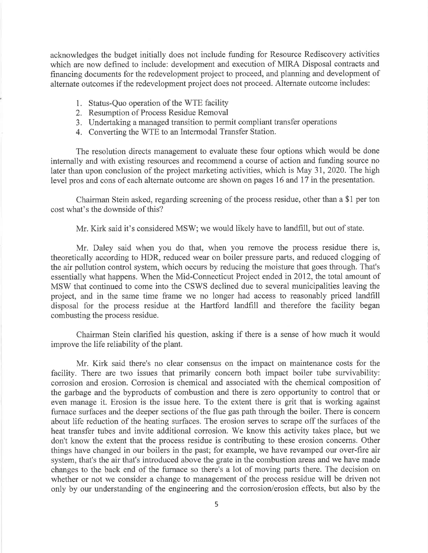acknowledges the budget initially does not include funding for Resource Rediscovery activities which are now defined to include: development and execution of MIRA Disposal contracts and financing documents for the redevelopment project to proceed, and planning and development of alternate outcomes if the redevelopment project does not proceed. Altemate outcome includes:

- 1. Status-Quo operation of the WTE facility
- 2. Resumption of Process Residue Removal
- Undertaking a managed transition to permit compliant transfer operations J.
- Converting the V/TE to an Intermodal Transfer Station. 4.

The resolution directs management to evaluate these four options which would be done internally and with existing resources and recommend a course of action and funding source no later than upon conclusion of the project marketing activities, which is May 31, 2020. The high level pros and cons of each alternate outcome are shown on pages 16 and 17 in the presentation.

Chairman Stein asked, regarding screening of the process residue, other than a \$1 per ton cost what's the downside of this?

Mr. Kirk said it's considered MSW; we would likely have to landfill, but out of state.

Mr. Daley said when you do that, when you remove the process residue there is, theoretically according to HDR, reduced wear on boiler pressure parts, and reduced clogging of the air pollution control system, which occurs by reducing the moisture that goes through. That's essentially what happens. When the Mid-Connecticut Project ended in2012, the total amount of MSW that continued to come into the CSWS declined due to several municipalities leaving the project, and in the same time frame we no longer had access to reasonably priced landfill disposal for the process residue at the Hartford landfill and therefore the facility began combusting the process residue.

Chairman Stein clarified his question, asking if there is a sense of how much it would improve the life reliability of the plant.

Mr. Kirk said there's no clear consensus on the impact on maintenance costs for the facility. There are two issues that primarily concern both impact boiler tube survivability: corrosion and erosion. Corrosion is chemical and associated with the chemical composition of the garbage and the byproducts of combustion and there is zero opportunity to control that or even manage it. Erosion is the issue here. To the extent there is grit that is working against furnace surfaces and the deeper sections of the flue gas path through the boiler. There is concern about life reduction of the heating surfaces. The erosion serves to scrape off the surfaces of the heat transfer tubes and invite additional corrosion. We know this activity takes place, but we don't know the extent that the process residue is contributing to these erosion concerns. Other things have changed in our boilers in the past; for example, we have revamped our over-fire air system, that's the air that's introduced above the grate in the combustion areas and we have made changes to the back end of the furnace so there's a lot of moving parts there. The decision on whether or not we consider a change to management of the process residue will be driven not only by our understanding of the engineering and the corrosion/erosion effects, but also by the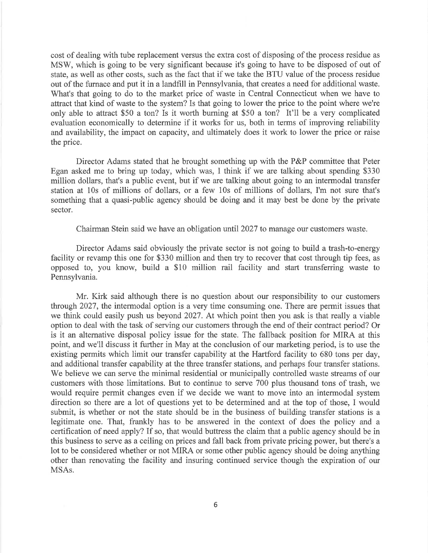cost of dealing with tube replacement versus the extra cost of disposing of the process residue as MSW, which is going to be very significant because it's going to have to be disposed of out of state, as well as other costs, such as the fact that if we take the BTU value of the process residue out of the furnace and put it in a landfill in Pennsylvania, that creates a need for additional waste. 'What's that going to do to the market price of waste in Central Connecticut when we have to attract that kind of waste to the system? Is that going to lower the price to the point where we're only able to attract \$50 a ton? Is it worth burning at \$50 a ton? It'll be a very complicated evaluation economically to determine if it works for us, both in terms of improving reliability and availability, the impact on capacity, and ultimately does it work to lower the price or raise the price.

Director Adams stated that he brought something up with the P&P committee that Peter Egan asked me to bring up today, which was, I think if we are talking about spending \$330 million dollars, that's a public event, but if we are talking about going to an intermodal transfer station at 10s of millions of dollars, or a few 10s of millions of dollars, I'm not sure that's something that a quasi-public agency should be doing and it may best be done by the private sector.

Chairman Stein said we have an obligation until 2027 to manage our customers waste.

Director Adams said obviously the private sector is not going to build a trash-to-energy facility or revamp this one for \$330 million and then try to recover that cost through tip fees, as opposed to, you know, build a \$10 million rail facility and start transferring waste to Pennsylvania.

Mr. Kirk said although there is no question about our responsibility to our customers through 2027, the intermodal option is a very time consuming one. There are permit issues that we think could easily push us beyond 2021. At which point then you ask is that really a viable option to deal with the task of serving our customers through the end of their contract period? Or is it an alternative disposal policy issue for the state. The fallback position for MIRA at this point, and we'll discuss it further in May at the conclusion of our marketing period, is to use the existing permits which limit our transfer capability at the Hartford facility to 680 tons per day, and additional transfer capability at the three transfer stations, and perhaps four transfer stations. We believe we can serve the minimal residential or municipally controlled waste streams of our customers with those limitations. But to continue to serve 700 plus thousand tons of trash, we would require permit changes even if we decide we want to move into an intermodal system direction so there are a lot of questions yet to be determined and at the top of those, I would submit, is whether or not the state should be in the business of building transfer stations is a legitimate one. That, frankly has to be answered in the context of does the policy and <sup>a</sup> certification of need apply? If so, that would buttress the claim that apublic agency should be in this business to serve as a ceiling on prices and fall back from private pricing power, but there's a lot to be considered whether or not MIRA or some other public agency should be doing anything other than renovating the facility and insuring continued service though the expiration of our MSAs.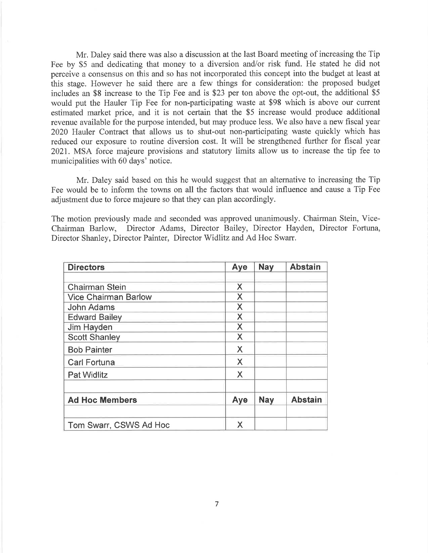Mr. Daley said there was also a discussion at the last Board meeting of increasing the Tip Fee by \$5 and dedicating that money to a diversion and/or risk fund. He stated he did not perceive a consensus on this and so has not incorporated this concept into the budget at least at this stage. However he said there are a few things for consideration: the proposed budget includes an \$8 increase to the Tip Fee and is \$23 per ton above the opt-out, the additional \$5 would put the Hauler Tip Fee for non-participating waste at \$98 which is above our current estimated market price, and it is not certain that the \$5 increase would produce additional revenue available for the purpose intended, but may produce less. We also have a new fiscal year 2020 Hauler Contract that allows us to shut-out non-participating waste quickly which has reduced our exposure to routine diversion cost. It will be strengthened further for fiscal year 2021. MSA force majeure provisions and statutory limits allow us to increase the tip fee to municipalities with 60 days' notice.

Mr. Daley said based on this he would suggest that an alternative to increasing the Tip Fee would be to inform the towns on all the factors that would influence and cause a Tip Fee adjustment due to force majeure so that they can plan accordingly.

The motion previously made and seconded was approved unanimously. Chairman Stein, Vice-Chairman Barlow, Director Adams, Director Bailey, Director Hayden, Director Fortuna, Director Shanley, Director Painter, Director Widlitz and Ad Hoc Swarr.

| <b>Directors</b>            | Aye                     | <b>Nay</b> | <b>Abstain</b> |
|-----------------------------|-------------------------|------------|----------------|
|                             |                         |            |                |
| <b>Chairman Stein</b>       | X                       |            |                |
| <b>Vice Chairman Barlow</b> | X                       |            |                |
| <b>John Adams</b>           | $\overline{\mathsf{X}}$ |            |                |
| <b>Edward Bailey</b>        | $\overline{\mathsf{X}}$ |            |                |
| Jim Hayden                  | X                       |            |                |
| <b>Scott Shanley</b>        | X                       |            |                |
| <b>Bob Painter</b>          | X                       |            |                |
| <b>Carl Fortuna</b>         | X                       |            |                |
| <b>Pat Widlitz</b>          | X                       |            |                |
|                             |                         |            |                |
| <b>Ad Hoc Members</b>       | Aye                     | <b>Nay</b> | <b>Abstain</b> |
| Tom Swarr, CSWS Ad Hoc      | Χ                       |            |                |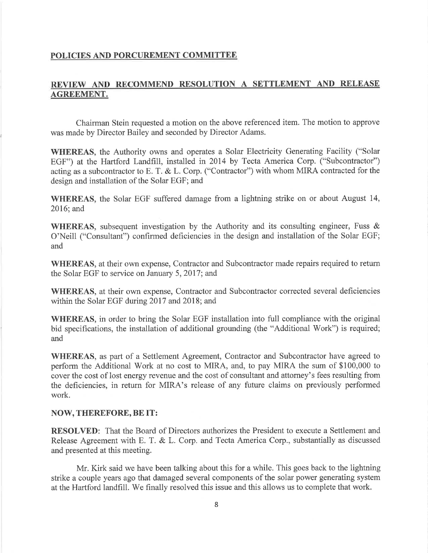### POLICIES AND PORCUREMENT COMMITTEE

# REVIEW AND RECOMMEND RESOLUTION A SETTLEMENT AND RELEASE AGREEMENT.

Chairman Stein requested a motion on the above referenced item. The motion to approve was made by Director Bailey and seconded by Director Adams.

WHEREAS, the Authority owns and operates a Solar Electricity Generating Facility ("Solar EGF") at the Hartford Landfill, installed in 2014 by Tecta America Corp. ("Subcontractor") acting as a subcontractor to E. T. & L. Corp. ("Contractor") with whom MIRA contracted for the design and installation of the Solar EGF; and

WHEREAS, the Solar EGF suffered damage from a lightning strike on or about August 14, 2016; and

**WHEREAS**, subsequent investigation by the Authority and its consulting engineer, Fuss  $\&$ O'Neill ("Consultant") confirmed deficiencies in the design and installation of the Solar EGF; and

WHEREAS, at their own expense, Contractor and Subcontractor made repairs required to return the Solar EGF to service on January 5,2017; and

WHEREAS, at their own expense, Contractor and Subcontractor corrected several deficiencies within the Solar EGF during 2017 and 2018; and

WHEREAS, in order to bring the Solar EGF installation into full compliance with the original bid specifications, the installation of additional grounding (the "Additional Work") is required; and

WHEREAS, as part of a Settlement Agreement, Contractor and Subcontractor have agreed to perform the Additional Work at no cost to MIRA, and, to pay MIRA the sum of \$100,000 to cover the cost of lost energy revenue and the cost of consultant and attorney's fees resulting from the deficiencies, in return for MIRA's release of any future claims on previously performed work.

## NOW, THEREFORE, BE IT:

RESOLVED: That the Board of Directors authorizes the President to execute a Settlement and Release Agreement with E. T. & L. Corp. and Tecta America Corp., substantially as discussed and presented at this meeting.

Mr. Kirk said we have been talking about this for a while. This goes back to the lightning strike a couple years ago that damaged several components of the solar power generating system at the Hartford landfill. We finally resolved this issue and this allows us to complete that work.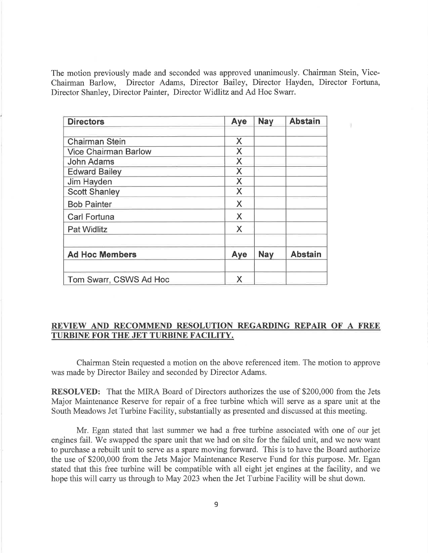The motion previously made and seconded was approved unanimously. Chairman Stein, Vice-Chairman Barlow, Director Adams, Director Bailey, Director Hayden, Director Fortuna, Director Shanley, Director Painter, Director Widlitz and Ad Hoc Swarr.

ij.

| <b>Directors</b>            | Aye        | <b>Nay</b> | <b>Abstain</b> |
|-----------------------------|------------|------------|----------------|
|                             |            |            |                |
| Chairman Stein              | X          |            |                |
| <b>Vice Chairman Barlow</b> | X          |            |                |
| <b>John Adams</b>           | X          |            |                |
| <b>Edward Bailey</b>        | X          |            |                |
| Jim Hayden                  | X          |            |                |
| <b>Scott Shanley</b>        | X          |            |                |
| <b>Bob Painter</b>          | X          |            |                |
| <b>Carl Fortuna</b>         | X          |            |                |
| <b>Pat Widlitz</b>          | X          |            |                |
|                             |            |            |                |
| <b>Ad Hoc Members</b>       | <b>Aye</b> | <b>Nay</b> | <b>Abstain</b> |
| Tom Swarr, CSWS Ad Hoc      | X          |            |                |

# REVIEW AND RECOMMEND RESOLUTION REGARDING REPAIR OF A FREE TURBINE FOR THE JET TURBINE FACILITY.

Chairman Stein requested a motion on the above referenced item. The motion to approve was made by Director Bailey and seconded by Director Adams.

RESOLVED: That the MIRA Board of Directors authorizes the use of \$200,000 from the Jets Major Maintenance Reserve for repair of a free turbine which will serve as a spare unit at the South Meadows Jet Turbine Facility, substantially as presented and discussed at this meeting.

Mr. Egan stated that last summer we had a free turbine associated with one of our jet engines fail. We swapped the spare unit that we had on site for the failed unit, and we now want to purchase a rebuilt unit to serve as a spare moving forward. This is to have the Board authorize the use of \$200,000 from the Jets Major Maintenance Reserve Fund for this purpose. Mr. Egan stated that this free turbine will be compatible with all eight jet engines at the facility, and we hope this will carry us through to May 2023 when the Jet Turbine Facility will be shut down.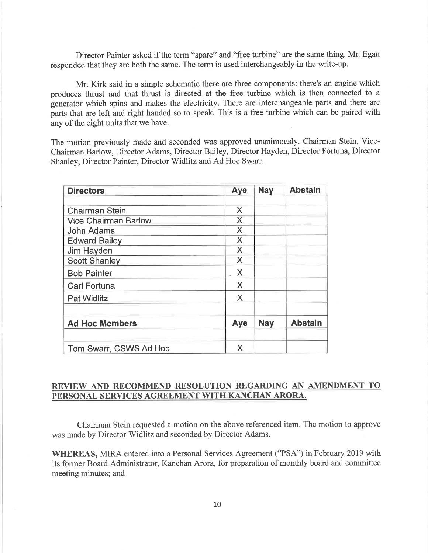Director Painter asked if the term "spare" and "free turbine" are the same thing. Mr. Egan responded that they are both the same. The term is used interchangeably in the write-up.

Mr. Kirk said in a simple schematic there are three components: there's an engine which produces thrust and that thrust is directed at the free turbine which is then connected to <sup>a</sup> generator which spins and makes the electricity. There are interchangeable parts and there are parts that are left and right handed so to speak. This is a free turbine which can be paired with any of the eight units that we have.

The motion previously made and seconded was approved unanimously. Chairman Stein, Vice-Chairman Barlow, Director Adams, Director Bailey, Director Hayden, Director Fortuna, Director Shanley, Director Painter, Director Widlitz and Ad Hoc Swarr.

| <b>Directors</b>            | Aye                     | <b>Nay</b> | <b>Abstain</b> |
|-----------------------------|-------------------------|------------|----------------|
|                             |                         |            |                |
| <b>Chairman Stein</b>       | X                       |            |                |
| <b>Vice Chairman Barlow</b> | $\overline{\mathsf{X}}$ |            |                |
| <b>John Adams</b>           | X                       |            |                |
| <b>Edward Bailey</b>        | X                       |            |                |
| Jim Hayden                  | $\mathsf{X}$            |            |                |
| <b>Scott Shanley</b>        | X                       |            |                |
| <b>Bob Painter</b>          | $\overline{X}$          |            |                |
| <b>Carl Fortuna</b>         | X                       |            |                |
| Pat Widlitz                 | X                       |            |                |
| <b>Ad Hoc Members</b>       | Aye                     | <b>Nay</b> | <b>Abstain</b> |
| Tom Swarr, CSWS Ad Hoc      | X                       |            |                |

## REVIEW AND RECOMMEND RESOLUTION REGARDING AN AMENDMENT TO PERSONAL SERVICES AGREEMENT WITH KANCHAN ARORA.

Chairman Stein requested a motion on the above referenced item. The motion to approve was made by Director Widlitz and seconded by Director Adams.

WHEREAS, MIRA entered into a Personal Services Agreement ("PSA") in February 2019 with its former Board Administrator, Kanchan Arora, for preparation of monthly board and committee meeting minutes; and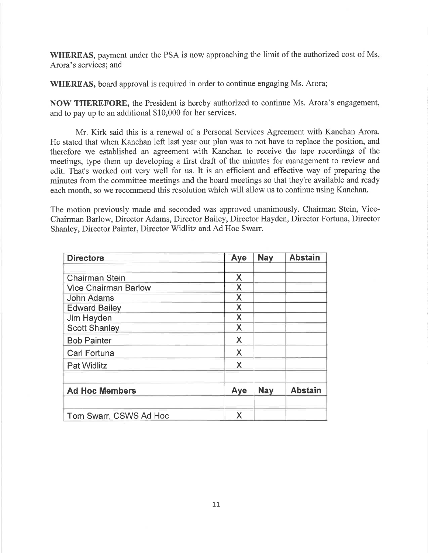WHEREAS, payment under the PSA is now approaching the limit of the authorized cost of Ms. Arora's services; and

WHEREAS, board approval is required in order to continue engaging Ms. Arora;

NOW THEREFORE, the President is hereby authorized to continue Ms. Arora's engagement, and to pay up to an additional \$10,000 for her services.

Mr. Kirk said this is a renewal of a Personal Services Agreement with Kanchan Arora. He stated that when Kanchan left last year our plan was to not have to replace the position, and therefore we established an agreement with Kanchan to receive the tape recordings of the meetings, type them up developing a first draft of the minutes for management to review and edit. That's worked out very well for us. It is an efficient and effective way of preparing the minutes from the committee meetings and the board meetings so that they're available and ready each month, so we recommend this resolution which will allow us to continue using Kanchan.

The motion previously made and seconded was approved unanimously. Chairman Stein, Vice-Chairman Barlow, Director Adams, Director Bailey, Director Hayden, Director Fortuna, Director Shanley, Director Painter, Director Widlitz and Ad Hoc Swarr.

| <b>Directors</b>            | Aye                       | <b>Nay</b> | <b>Abstain</b> |
|-----------------------------|---------------------------|------------|----------------|
|                             |                           |            |                |
| <b>Chairman Stein</b>       | X                         |            |                |
| <b>Vice Chairman Barlow</b> | X                         |            |                |
| <b>John Adams</b>           | $\overline{\mathsf{X}}$   |            |                |
| <b>Edward Bailey</b>        | $\boldsymbol{\mathsf{X}}$ |            |                |
| <b>Jim Hayden</b>           | X                         |            |                |
| <b>Scott Shanley</b>        | $\overline{\mathsf{X}}$   |            |                |
| <b>Bob Painter</b>          | X                         |            |                |
| <b>Carl Fortuna</b>         | X                         |            |                |
| <b>Pat Widlitz</b>          | X                         |            |                |
|                             |                           |            |                |
| <b>Ad Hoc Members</b>       | Aye                       | <b>Nay</b> | <b>Abstain</b> |
| Tom Swarr, CSWS Ad Hoc      | X                         |            |                |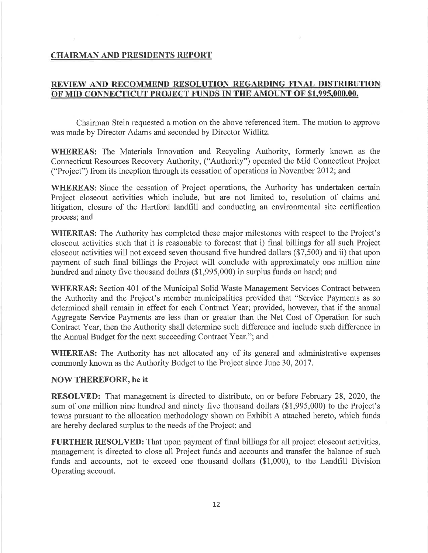## CHAIRMAN AND PRESIDENTS REPORT

# REVIEW AND RECOMMEND RESOLUTION REGARDING FINAL DISTRIBUTION OF MID CONNECTICUT PROJECT FUNDS IN THE AMOUNT OF \$1,995,000.00.

Chairman Stein requested a motion on the above referenced item. The motion to approve was made by Director Adams and seconded by Director Widlitz.

WHEREAS: The Materials Innovation and Recycling Authority, formerly known as the Connecticut Resources Recovery Authority, ("Authority") operated the Mid Connecticut Project ("Project") from its inception through its cessation of operations in November 2012; and

WHEREAS: Since the cessation of Project operations, the Authority has undertaken certain Project closeout activities which include, but are not limited to, resolution of claims and litigation, closure of the Hartford landfill and conducting an environmental site certification process; and

WHEREAS: The Authority has completed these major milestones with respect to the Project's closeout activities such that it is reasonable to forecast that i) final billings for all such Project closeout activities will not exceed seven thousand five hundred dollars (\$7,500) and ii) that upon payment of such final billings the Project will conclude with approximately one million nine hundred and ninety five thousand dollars (\$1,995,000) in surplus funds on hand; and

WHEREAS: Section 401 of the Municipal Solid Waste Management Services Contract between the Authority and the Project's member municipalities provided that "Service Payments as so determined shall remain in effect for each Contract Year; provided, however, thaf if the annual Aggregate Service Payments are less than or greater than the Net Cost of Operation for such Contract Year, then the Authority shall determine such difference and include such difference in the Annual Budget for the next succeeding Contract Year."; and

WHEREAS: The Authority has not allocated any of its general and administrative expenses commonly known as the Authority Budget to the Project since June 30,2017.

## NOW THEREFORE, be it

RESOLVED: That management is directed to distribute, on or before February 28,2020, the sum of one million nine hundred and ninety five thousand dollars (\$1,995,000) to the Project's towns pursuant to the allocation methodology shown on Exhibit A attached hereto, which funds are hereby declared surplus to the needs of the Project; and

FURTHER RESOLVED: That upon payment of final billings for all project closeout activities, management is directed to close all Project funds and accounts and transfer the balance of such funds and accounts, not to exceed one thousand dollars (\$1,000), to the Landfill Division Operating account.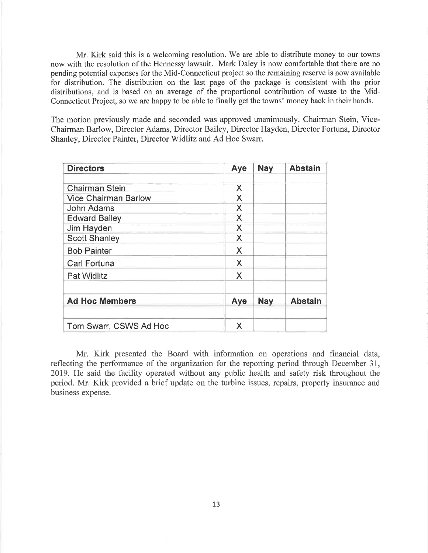Mr. Kirk said this is a welcoming resolution. We are able to distribute money to our towns now with the resolution of the Hennessy lawsuit. Mark Daley is now comfortable that there are no pending potential expenses for the Mid-Connecticut project so the remaining reserve is now available for distribution. The distribution on the last page of the package is consistent with the prior distributions, and is based on an average of the proportional contribution of waste to the Mid-Connecticut Project, so we are happy to be able to finally get the towns' money back in their hands.

The motion previously made and seconded was approved unanimously. Chairman Stein, Vice-Chairman Barlow, Director Adams, Director Bailey, Director Hayden, Director Fortuna, Director Shanley, Director Painter, Director Widlitz and Ad Hoc Swarr.

| <b>Directors</b>            | Aye                     | <b>Nay</b> | <b>Abstain</b> |
|-----------------------------|-------------------------|------------|----------------|
|                             |                         |            |                |
| Chairman Stein              | X                       |            |                |
| <b>Vice Chairman Barlow</b> | X                       |            |                |
| John Adams                  | X                       |            |                |
| <b>Edward Bailey</b>        | X                       |            |                |
| <b>Jim Hayden</b>           | $\overline{\mathsf{X}}$ |            |                |
| <b>Scott Shanley</b>        | X                       |            |                |
| <b>Bob Painter</b>          | X                       |            |                |
| <b>Carl Fortuna</b>         | X                       |            |                |
| <b>Pat Widlitz</b>          | X                       |            |                |
|                             |                         |            |                |
| <b>Ad Hoc Members</b>       | Aye                     | <b>Nay</b> | <b>Abstain</b> |
| Tom Swarr, CSWS Ad Hoc      | X                       |            |                |

Mr. Kirk presented the Board with information on operations and financial data, reflecting the performance of the organization for the reporting period through December 31, 2019. He said the facility operated without any public health and safety risk throughout the period. Mr. Kirk provided a brief update on the turbine issues, repairs, property insurance and business expense.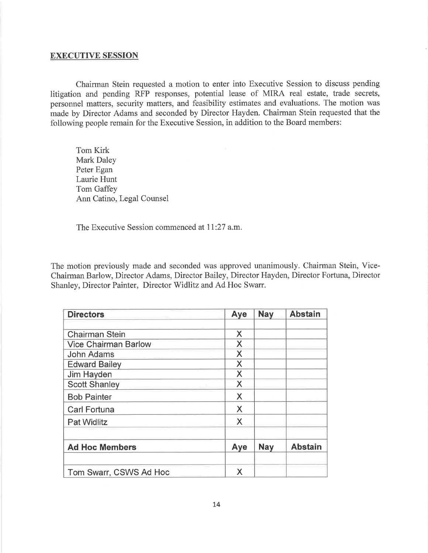## EXECUTIVE SESSION

Chairman Stein requested a motion to enter into Executive Session to discuss pending litigation and pending RFP responses, potential lease of MIRA real estate, trade secrets, personnel matters, security matters, and feasibility estimates and evaluations. The motion was made by Director Adams and seconded by Director Hayden. Chairman Stein requested that the following people remain for the Executive Session, in addition to the Board members:

s.

Tom Kirk Mark Daley Peter Egan Laurie Hunt Tom Gaffey Ann Catino, Legal Counsel

The Executive Session commenced at 11.27 a.m.

The motion previously made and seconded was approved unanimously. Chairman Stein, Vice-Chairman Barlow, Director Adams, Director Bailey, Director Hayden, Director Fortuna, Director Shanley, Director Painter, Director Widlitz and Ad Hoc Swar.

| <b>Directors</b>            | Aye                       | <b>Nay</b> | <b>Abstain</b> |
|-----------------------------|---------------------------|------------|----------------|
|                             |                           |            |                |
| <b>Chairman Stein</b>       | X                         |            |                |
| <b>Vice Chairman Barlow</b> | $\boldsymbol{\mathsf{X}}$ |            |                |
| <b>John Adams</b>           | $\overline{\mathsf{X}}$   |            |                |
| <b>Edward Bailey</b>        | X                         |            |                |
| Jim Hayden                  | X                         |            |                |
| <b>Scott Shanley</b>        | $\overline{\mathsf{X}}$   |            |                |
| <b>Bob Painter</b>          | X                         |            |                |
| <b>Carl Fortuna</b>         | X                         |            |                |
| <b>Pat Widlitz</b>          | X                         |            |                |
|                             |                           |            |                |
| <b>Ad Hoc Members</b>       | Aye                       | <b>Nay</b> | <b>Abstain</b> |
| Tom Swarr, CSWS Ad Hoc      | X                         |            |                |